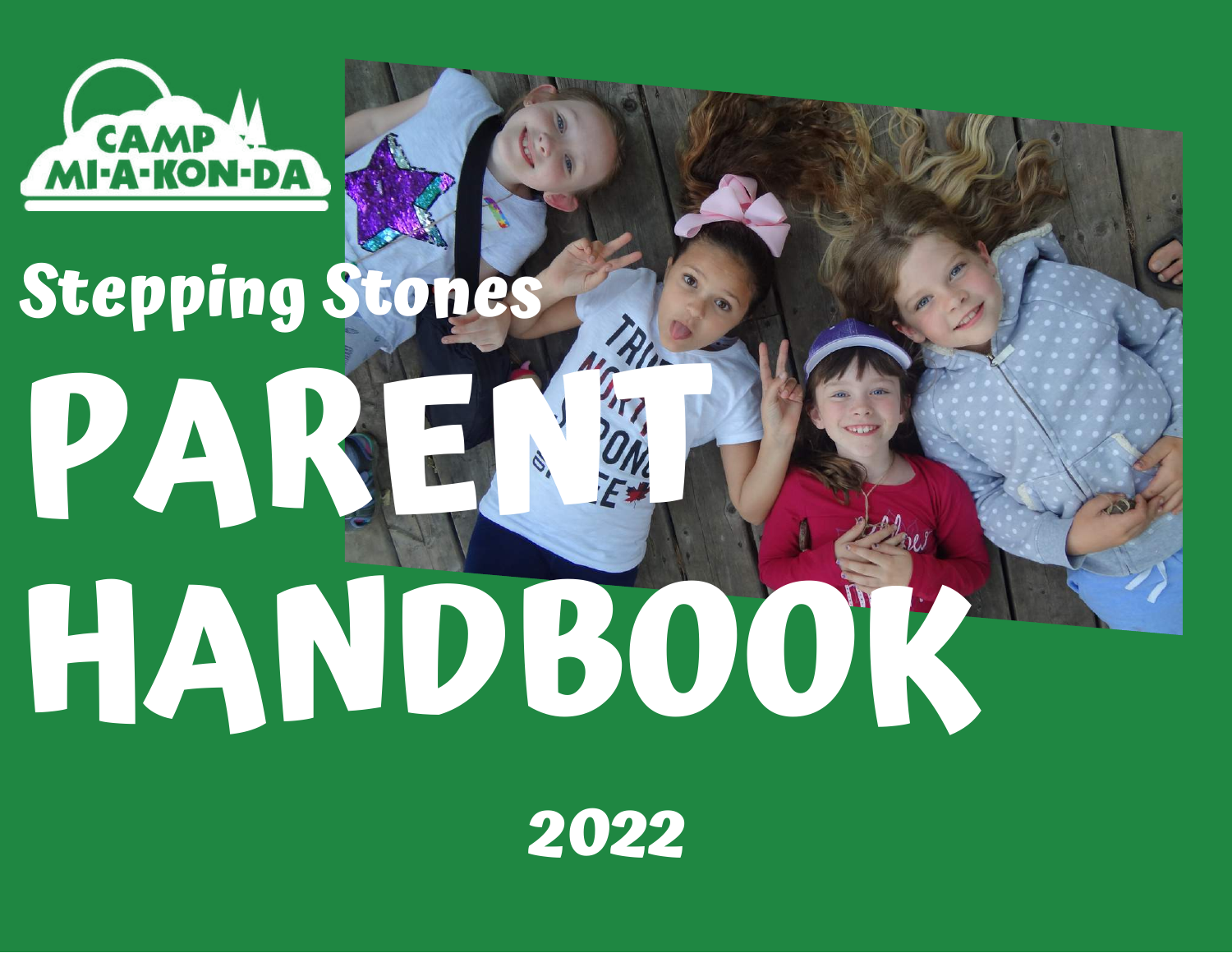

# **PARENT HANDBOOK Stepping Stones**

**2022**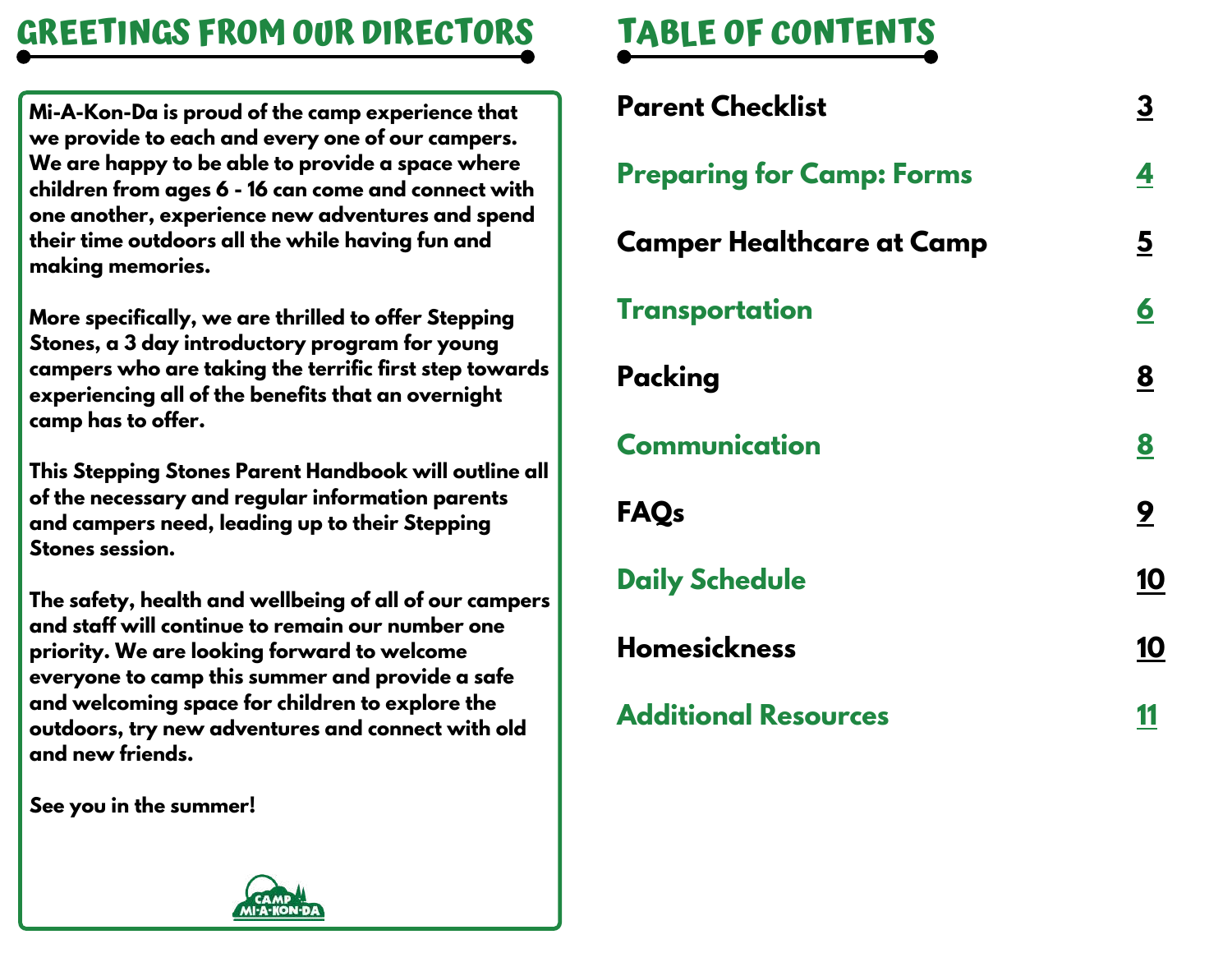# **GREETINGS FROM OUR DIRECTORS TABLE OF CONTENTS**

**Mi-A-Kon-Da is proud of the camp experience that we provide to each and every one of our campers. We are happy to be able to provide a space where children from ages 6 - 16 can come and connect with one another, experience new adventures and spend their time outdoors all the while having fun and making memories.**

**More specifically, we are thrilled to offer Stepping Stones, a 3 day introductory program for young campers who are taking the terrific first step towards experiencing all of the benefits that an overnight camp has to offer.**

**This Stepping Stones Parent Handbook will outline all of the necessary and regular information parents and campers need, leading up to their Stepping Stones session.**

**The safety, health and wellbeing of all of our campers and staff will continue to remain our number one priority. We are looking forward to welcome everyone to camp this summer and provide a safe and welcoming space for children to explore the outdoors, try new adventures and connect with old and new friends.**

**See you in the summer!**

| <b>Parent Checklist</b>          | <u>3</u>                |
|----------------------------------|-------------------------|
| <b>Preparing for Camp: Forms</b> | 4                       |
| <b>Camper Healthcare at Camp</b> | $\overline{\mathbf{5}}$ |
| <b>Transportation</b>            | $\overline{\mathbf{6}}$ |
| Packing                          | 8                       |
| <b>Communication</b>             | 8                       |
| <b>FAQs</b>                      | 9                       |
| <b>Daily Schedule</b>            | 10                      |
| <b>Homesickness</b>              | 10                      |
| <b>Additional Resources</b>      |                         |

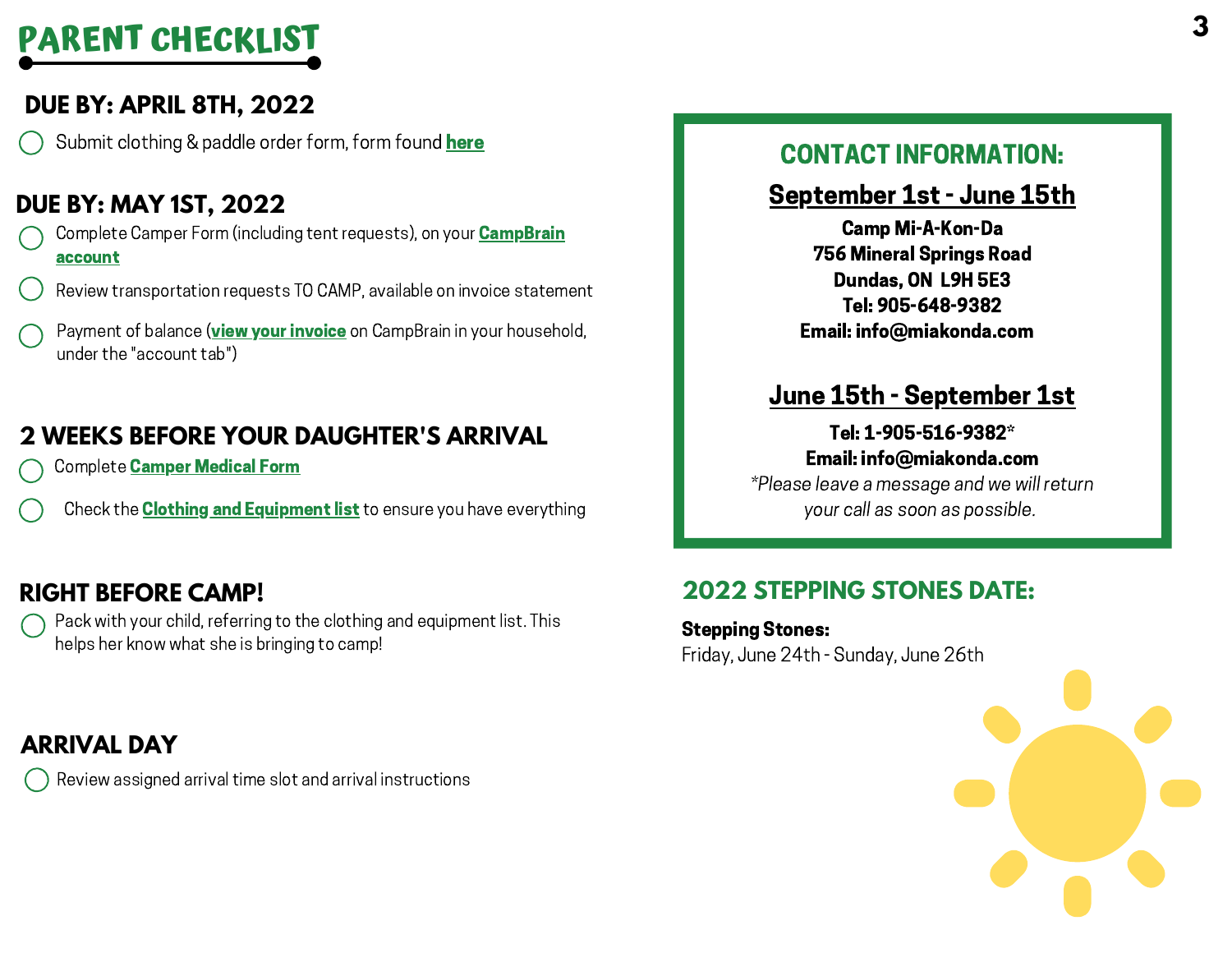# **PARENT CHECKLIST**

### **DUE BY: APRIL 8TH, 2022**

Submit clothing & paddle order form, form found [here](https://docs.google.com/forms/d/e/1FAIpQLSeTB-oOfNjhrmc-oaVGHcektANA6AMTkG7USzWGbupAdKBTBA/viewform?usp=sf_link)

### **DUE BY: MAY 1ST, 2022**

- Complete Camper Form (including tent requests), on your **CampBrain** [account](https://miakonda.campbrainregistration.com/)
- Review transportation requests TO CAMP, available on invoice statement
- Payment of balance (view your [invoice](https://miakonda.campbrainregistration.com/) on CampBrain in your household, under the "account tab")

### **2 WEEKS BEFORE YOUR DAUGHTER'S ARRIVAL**

- Complete **Camper [Medical](https://miakonda.campbrainregistration.com/) Form**
- Check the **Clothing and [Equipment](https://miakonda.com/wp-content/uploads/2022/03/2022-Stepping-Stones-Clothing-Equipment-List.pdf) list** to ensure you have everything

### **RIGHT BEFORE CAMP!**

Pack with your child, referring to the clothing and equipment list. This helps her know what she is bringing to camp!

### **ARRIVAL DAY**

Review assigned arrival time slot and arrival instructions

### CONTACT INFORMATION:

### September 1st - June 15th

Camp Mi-A-Kon-Da 756 Mineral Springs Road Dundas, ON L9H 5E3 Tel: 905-648-9382 Email: info@miakonda.com

### June 15th - September 1st

### Tel: 1-905-516-9382\* Email: info@miakonda.com

\*Please leave a message and we will return your call as soon as possible.

### **2022 STEPPING STONES DATE:**

Stepping Stones: Friday, June 24th - Sunday, June 26th

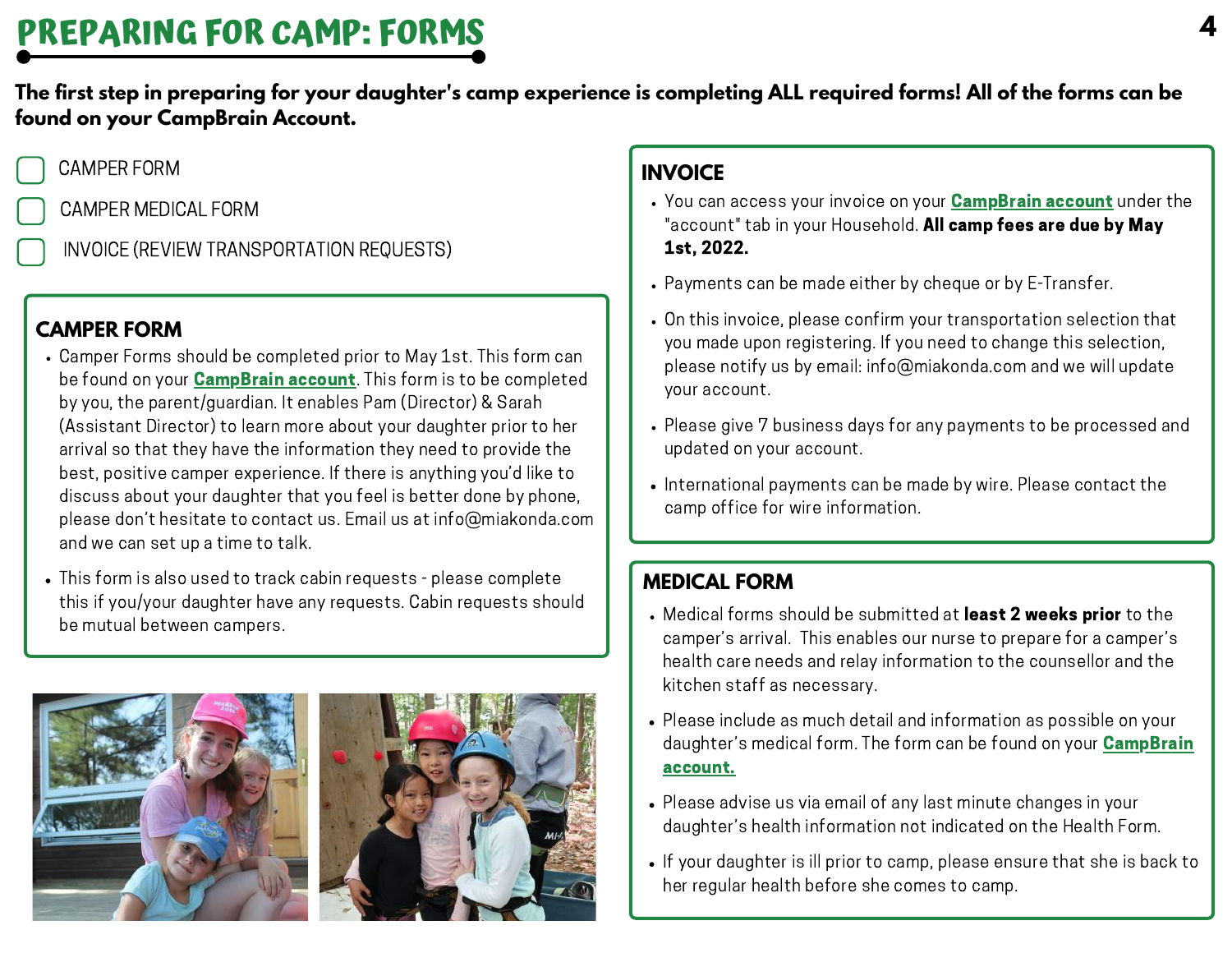The first step in preparing for your daughter's camp experience is completing ALL required forms! All of the forms can be **found on your CampBrain Account.**

### CAMPER FORM

CAMPER MEDICAL FORM

INVOICE (REVIEW TRANSPORTATION REQUESTS)

### **CAMPER FORM**

- Camper Forms should be completed prior to May 1st. This form can be found on your **[CampBrain](https://miakonda.campbrainregistration.com/) account**. This form is to be completed by you, the parent/guardian. It enables Pam (Director) & Sarah (Assistant Director) to learn more about your daughter prior to her arrival so that they have the information they need to provide the best, positive camper experience. If there is anything you'd like to discuss about your daughter that you feel is better done by phone, please don't hesitate to contact us. Email us at info@miakonda.com and we can set up a time to talk.
- This form is also used to track cabin requests please complete this if you/your daughter have any requests. Cabin requests should be mutual between campers.





### **INVOICE**

- You can access your invoice on your **[CampBrain](https://miakonda.campbrainregistration.com/) account** under the "account" tab in your Household. All camp fees are due by May 1st, 2022.
- Payments can be made either by cheque or by E-Transfer.
- On this invoice, please confirm your transportation selection that you made upon registering. If you need to change this selection, please notify us by email: info@miakonda.com and we will update your account.
- Please give 7 business days for any payments to be processed and updated on your account.
- International payments can be made by wire. Please contact the camp office for wire information.

### **MEDICAL FORM**

- Medical forms should be submitted at least 2 weeks prior to the camper's arrival. This enables our nurse to prepare for a camper's health care needs and relay information to the counsellor and the kitchen staff as necessary.
- Please include as much detail and information as possible on your daughter's medical form. The form can be found on your **CampBrain** [account.](https://miakonda.campbrainregistration.com/)
- Please advise us via email of any last minute changes in your daughter's health information not indicated on the Health Form.
- If your daughter is ill prior to camp, please ensure that she is back to her regular health before she comes to camp.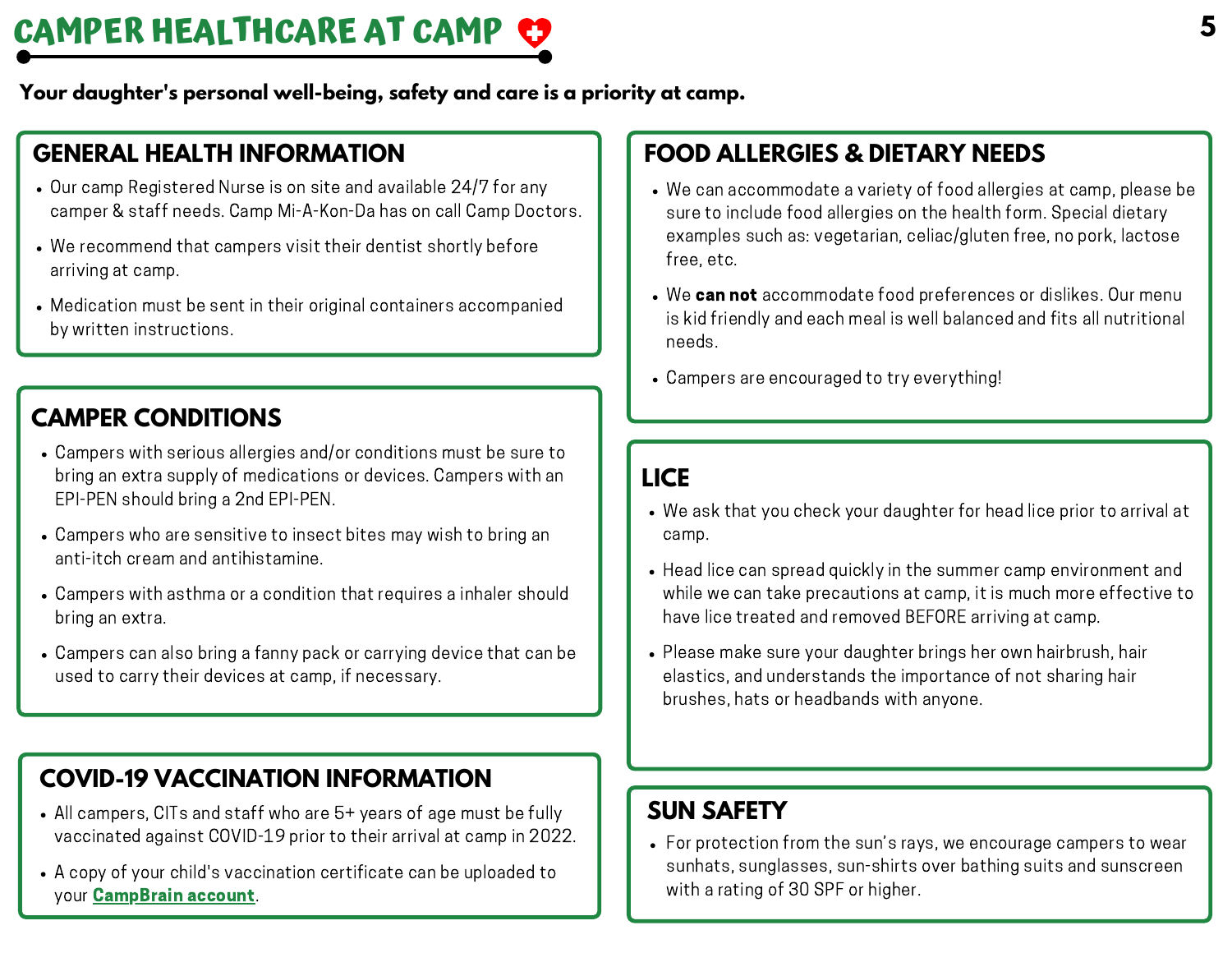# **CAMPER HEALTHCARE AT CAMP**

**Your daughter's personal well-being, safety and care is a priority at camp.**

### **GENERAL HEALTH INFORMATION**

- Our camp Registered Nurse is on site and available 24/7 for any camper & staff needs. Camp Mi-A-Kon-Da has on call Camp Doctors.
- We recommend that campers visit their dentist shortly before arriving at camp.
- Medication must be sent in their original containers accompanied by written instructions.

### **CAMPER CONDITIONS**

- Campers with serious allergies and/or conditions must be sure to bring an extra supply of medications or devices. Campers with an EPI-PEN should bring a 2nd EPI-PEN.
- Campers who are sensitive to insect bites may wish to bring an anti-itch cream and antihistamine.
- Campers with asthma or a condition that requires a inhaler should bring an extra.
- Campers can also bring a fanny pack or carrying device that can be used to carry their devices at camp, if necessary.

### **COVID-19 VACCINATION INFORMATION**

- All campers, CITs and staff who are 5+ years of age must be fully vaccinated against COVID-19 prior to their arrival at camp in 2022.
- A copy of your child's vaccination certificate can be uploaded to your [CampBrain](https://miakonda.campbrainregistration.com/) account.

### **FOOD ALLERGIES & DIETARY NEEDS**

- We can accommodate a variety of food allergies at camp, please be sure to include food allergies on the health form. Special dietary examples such as: vegetarian, celiac/gluten free, no pork, lactose free, etc.
- We can not accommodate food preferences or dislikes. Our menu is kid friendly and each meal is well balanced and fits all nutritional needs.
- Campers are encouraged to try everything!

### **LICE**

- We ask that you check your daughter for head lice prior to arrival at camp.
- Head lice can spread quickly in the summer camp environment and while we can take precautions at camp, it is much more effective to have lice treated and removed BEFORE arriving at camp.
- Please make sure your daughter brings her own hairbrush, hair elastics, and understands the importance of not sharing hair brushes, hats or headbands with anyone.

### **SUN SAFETY**

For protection from the sun's rays, we encourage campers to wear sunhats, sunglasses, sun-shirts over bathing suits and sunscreen with a rating of 30 SPF or higher.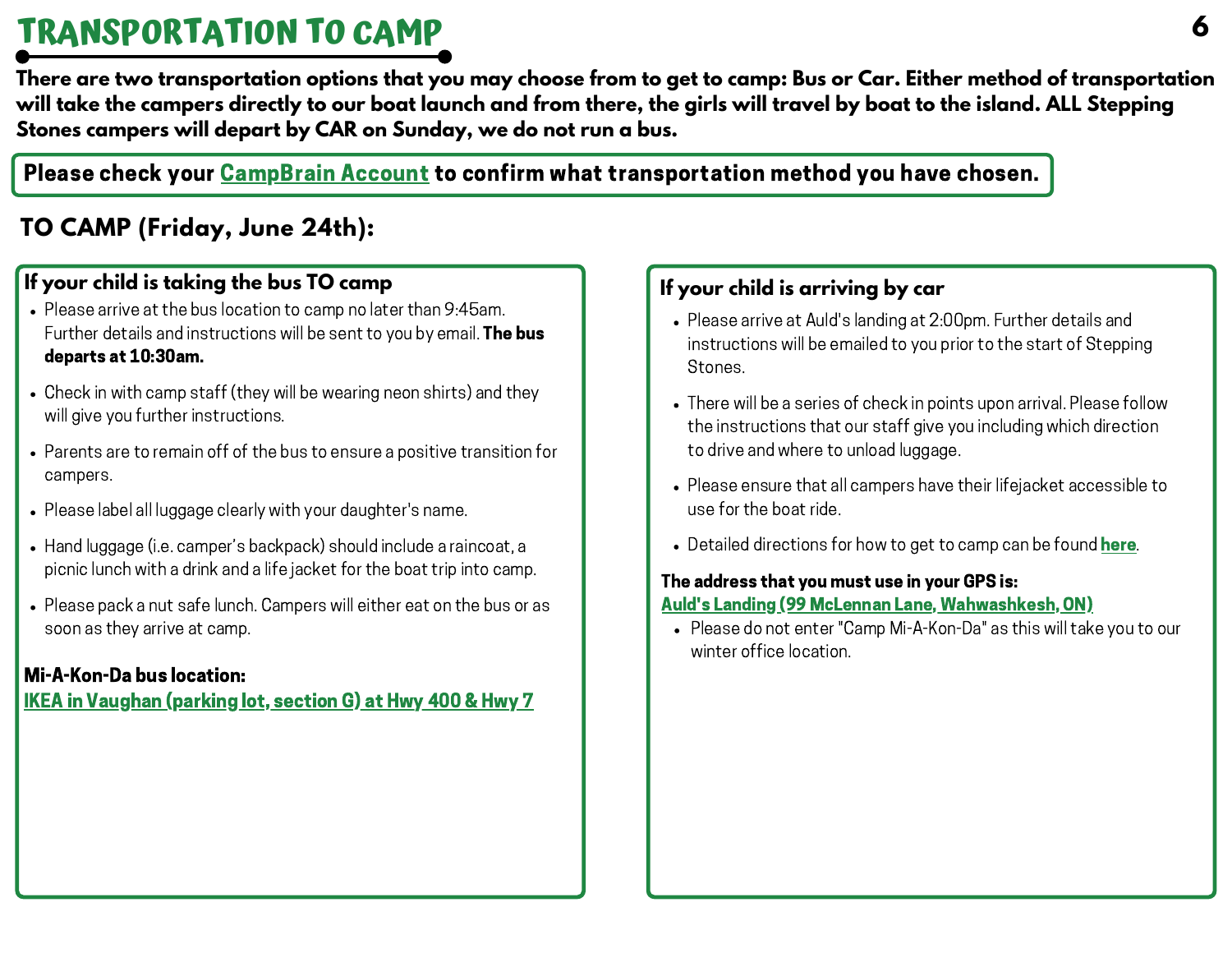# **TRANSPORTATION TO CAMP**

There are two transportation options that you may choose from to get to camp: Bus or Car. Either method of transportation will take the campers directly to our boat launch and from there, the girls will travel by boat to the island. ALL Steppina **Stones campers will depart by CAR on Sunday, we do not run a bus.**

Please check your [CampBrain](https://miakonda.campbrainregistration.com/) Account to confirm what transportation method you have chosen.

### **TO CAMP (Friday, June 24th):**

### **If your child is taking the bus TO camp If your child is arriving by car**

- Please arrive at the bus location to camp no later than 9:45am. Further details and instructions will be sent to you by email. The bus departs at 10:30am.
- Check in with camp staff (they will be wearing neon shirts) and they will give you further instructions.
- Parents are to remain off of the bus to ensure a positive transition for campers.
- Please label all luggage clearly with your daughter's name.
- Hand luggage (i.e. camper's backpack) should include a raincoat, a picnic lunch with a drink and a life jacket for the boat trip into camp.
- Please pack a nut safe lunch. Campers will either eat on the bus or as soon as they arrive at camp.

### Mi-A-Kon-Da bus location:

IKEA in [Vaughan](https://www.google.com/maps/dir/IKEA+Vaughan,+200+Interchange+Way,+Concord,+ON+L4K+5C3/@43.7872644,-79.5318737,18.08z/data=!4m9!4m8!1m0!1m5!1m1!1s0x882b2fb8f6564f13:0x9770f8baf9371d63!2m2!1d-79.5291984!2d43.7870949!3e0?shorturl=1) (parking lot, section G) at Hwy 400 & Hwy 7

- Please arrive at Auld's landing at 2:00pm. Further details and instructions will be emailed to you prior to the start of Stepping Stones.
- There will be a series of check in points upon arrival. Please follow the instructions that our staff give you including which direction to drive and where to unload luggage.
- Please ensure that all campers have their lifejacket accessible to use for the boat ride.
- Detailed directions for how to get to camp can be found [here.](https://miakonda.com/location/)

### The address that you must use in your GPS is:

### Auld's Landing (99 McLennan Lane, [Wahwashkesh,](https://www.google.com/maps/place/Auld) ON)

Please do not enter "Camp Mi-A-Kon-Da" as this will take you to our winter office location.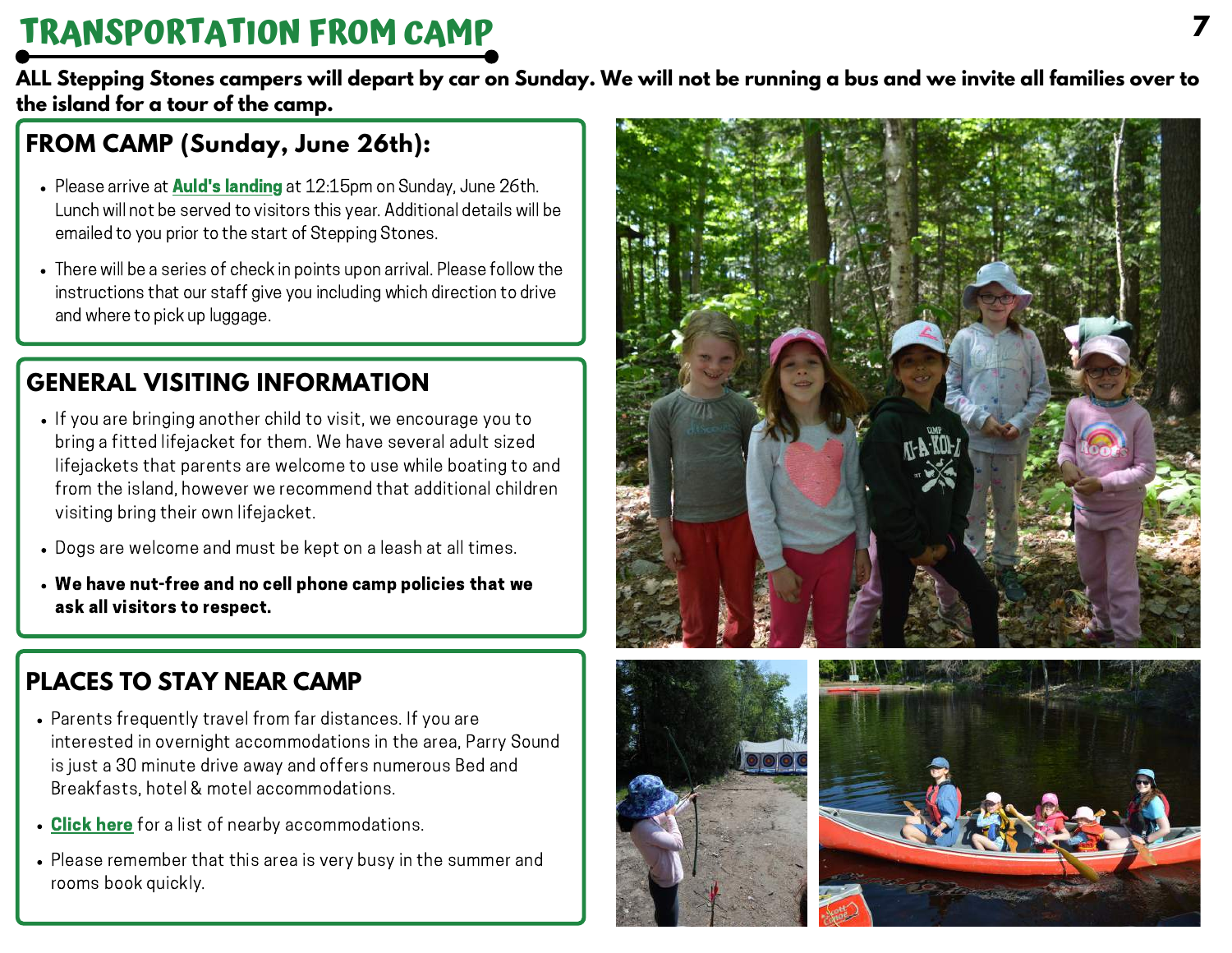# **TRANSPORTATION FROM CAMP**

ALL Stepping Stones campers will depart by car on Sunday. We will not be running a bus and we invite all families over to **the island for a tour of the camp.**

### **FROM CAMP (Sunday, June 26th):**

- Please arrive at **Auld's [landing](https://www.google.com/maps/place/Auld)** at 12:15pm on Sunday, June 26th. Lunch will not be served to visitors this year. Additional details will be emailed to you prior to the start of Stepping Stones.
- There will be a series of check in points upon arrival. Please follow the instructions that our staff give you including which direction to drive and where to pick up luggage.

### **GENERAL VISITING INFORMATION**

- If you are bringing another child to visit, we encourage you to bring a fitted lifejacket for them. We have several adult sized lifejackets that parents are welcome to use while boating to and from the island, however we recommend that additional children visiting bring their own lifejacket.
- Dogs are welcome and must be kept on a leash at all times.
- We have nut-free and no cell phone camp policies that we ask all visitors to respect.

### **PLACES TO STAY NEAR CAMP**

- Parents frequently travel from far distances. If you are interested in overnight accommodations in the area, Parry Sound is just a 30 minute drive away and offers numerous Bed and Breakfasts, hotel & motel accommodations.
- [Click](https://miakonda.com/wp-content/uploads/2021/02/Accommodations-in-the-Parry-Sound-Area.pdf) here for a list of nearby accommodations.
- Please remember that this area is very busy in the summer and rooms book quickly.





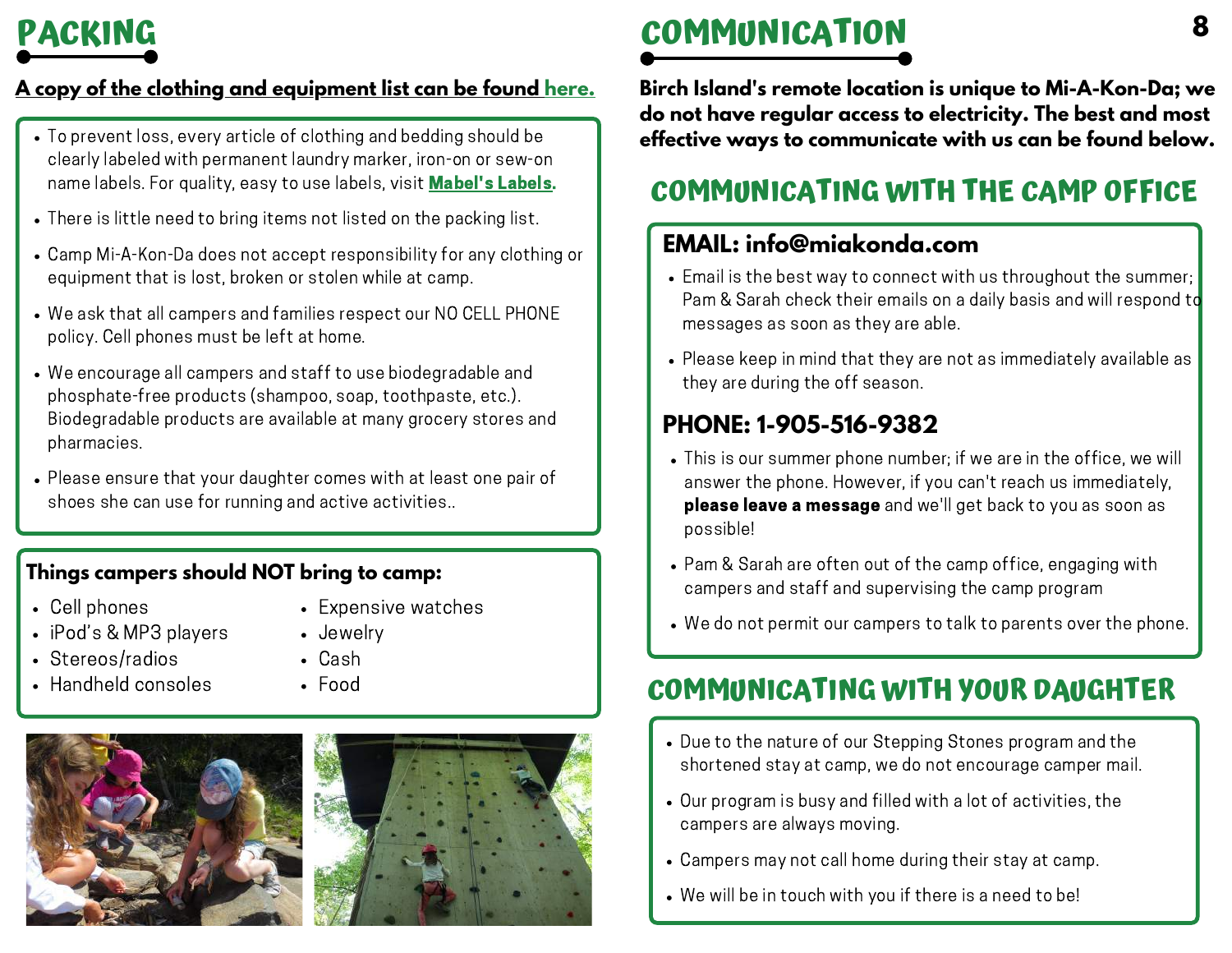### **A copy of the clothing and [equipment](https://miakonda.com/wp-content/uploads/2022/03/2022-Stepping-Stones-Clothing-Equipment-List.pdf) list can be found [here.](https://miakonda.com/wp-content/uploads/2022/03/2022-Stepping-Stones-Clothing-Equipment-List.pdf)**

- To prevent loss, every article of clothing and bedding should be clearly labeled with permanent laundry marker, iron-on or sew-on name labels. For quality, easy to use labels, visit **[Mabel's](https://mabelslabels.ca/en_CA/fundraising/support/) Labels.**
- There is little need to bring items not listed on the packing list.
- Camp Mi-A-Kon-Da does not accept responsibility for any clothing or equipment that is lost, broken or stolen while at camp.
- We ask that all campers and families respect our NO CELL PHONE policy. Cell phones must be left at home.
- We encourage all campers and staff to use biodegradable and phosphate-free products (shampoo, soap, toothpaste, etc.). Biodegradable products are available at many grocery stores and pharmacies.
- Please ensure that your daughter comes with at least one pair of shoes she can use for running and active activities..

### **Things campers should NOT bring to camp:**

- Cell phones
- iPod's & MP3 players
- Stereos/radios
- Handheld consoles
- Expensive watches
- Jewelry
- Cash
- Food





# **PACKING COMMUNICATION**

**Birch Island's remote location is unique to Mi-A-Kon-Da; we do not have regular access to electricity. The best and most effective ways to communicate with us can be found below.**

### **COMMUNICATING WITH THE CAMP OFFICE**

### **EMAIL: info@miakonda.com**

- Email is the best way to connect with us throughout the summer; Pam & Sarah check their emails on a daily basis and will respond to messages as soon as they are able.
- Please keep in mind that they are not as immediately available as they are during the off season.

### **PHONE: 1-905-516-9382**

- This is our summer phone number; if we are in the office, we will answer the phone. However, if you can't reach us immediately, please leave a message and we'll get back to you as soon as possible!
- Pam & Sarah are often out of the camp office, engaging with campers and staff and supervising the camp program
- We do not permit our campers to talk to parents over the phone.

### **COMMUNICATING WITH YOUR DAUGHTER**

- Due to the nature of our Stepping Stones program and the shortened stay at camp, we do not encourage camper mail.
- Our program is busy and filled with a lot of activities, the campers are always moving.
- Campers may not call home during their stay at camp.
- We will be in touch with you if there is a need to be!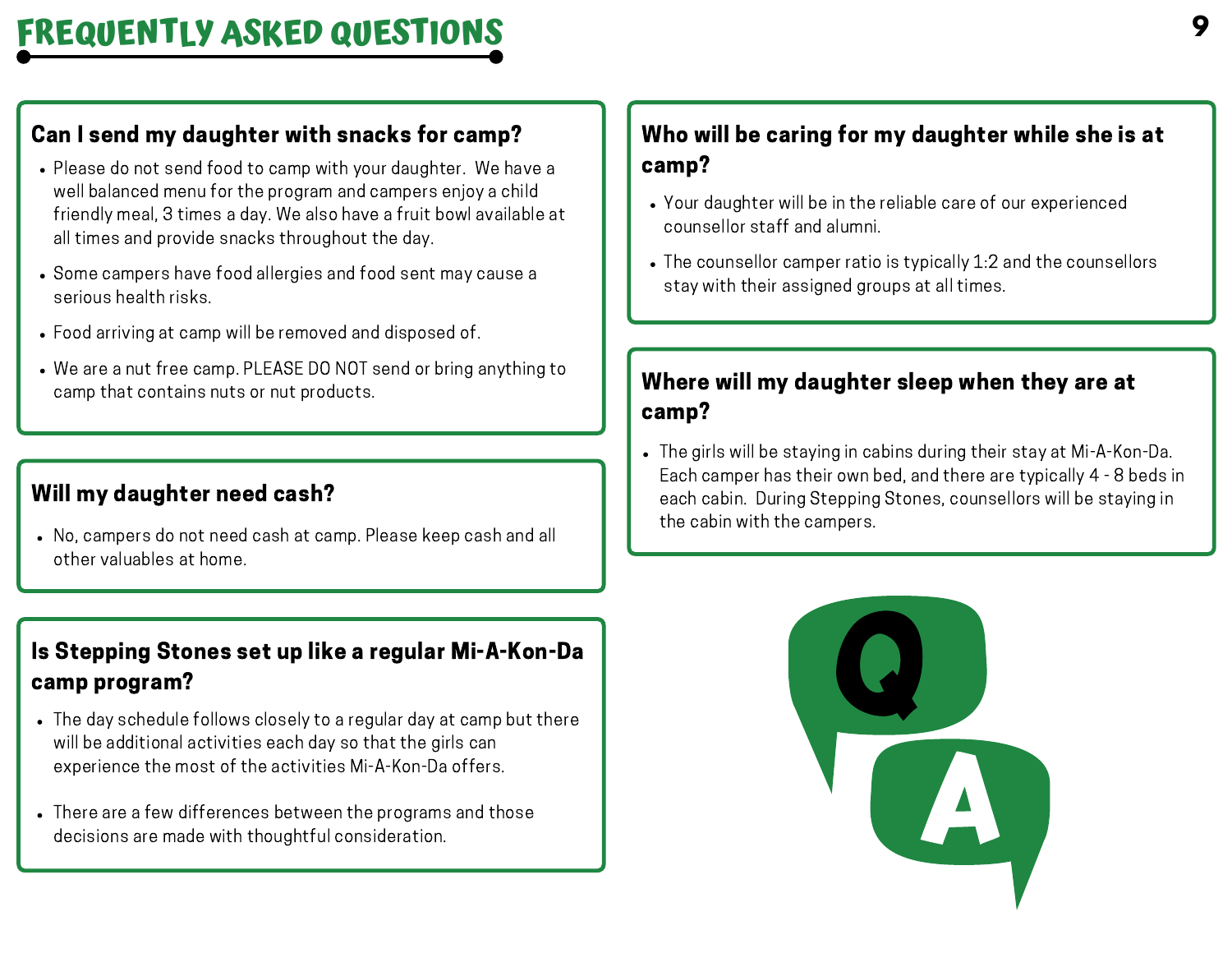### Can I send my daughter with snacks for camp?

- Please do not send food to camp with your daughter. We have a well balanced menu for the program and campers enjoy a child friendly meal, 3 times a day. We also have a fruit bowl available at all times and provide snacks throughout the day.
- Some campers have food allergies and food sent may cause a serious health risks.
- Food arriving at camp will be removed and disposed of.
- We are a nut free camp. PLEASE DO NOT send or bring anything to camp that contains nuts or nut products.

### Will my daughter need cash?

No, campers do not need cash at camp. Please keep cash and all other valuables at home.

### Is Stepping Stones set up like a regular Mi-A-Kon-Da camp program?

- The day schedule follows closely to a regular day at camp but there will be additional activities each day so that the girls can experience the most of the activities Mi-A-Kon-Da offers.
- There are a few differences between the programs and those decisions are made with thoughtful consideration.

### Who will be caring for my daughter while she is at camp?

- Your daughter will be in the reliable care of our experienced counsellor staff and alumni.
- The counsellor camper ratio is typically 1:2 and the counsellors stay with their assigned groups at all times.

### Where will my daughter sleep when they are at camp?

The girls will be staying in cabins during their stay at Mi-A-Kon-Da. Each camper has their own bed, and there are typically 4 - 8 beds in each cabin. During Stepping Stones, counsellors will be staying in the cabin with the campers.

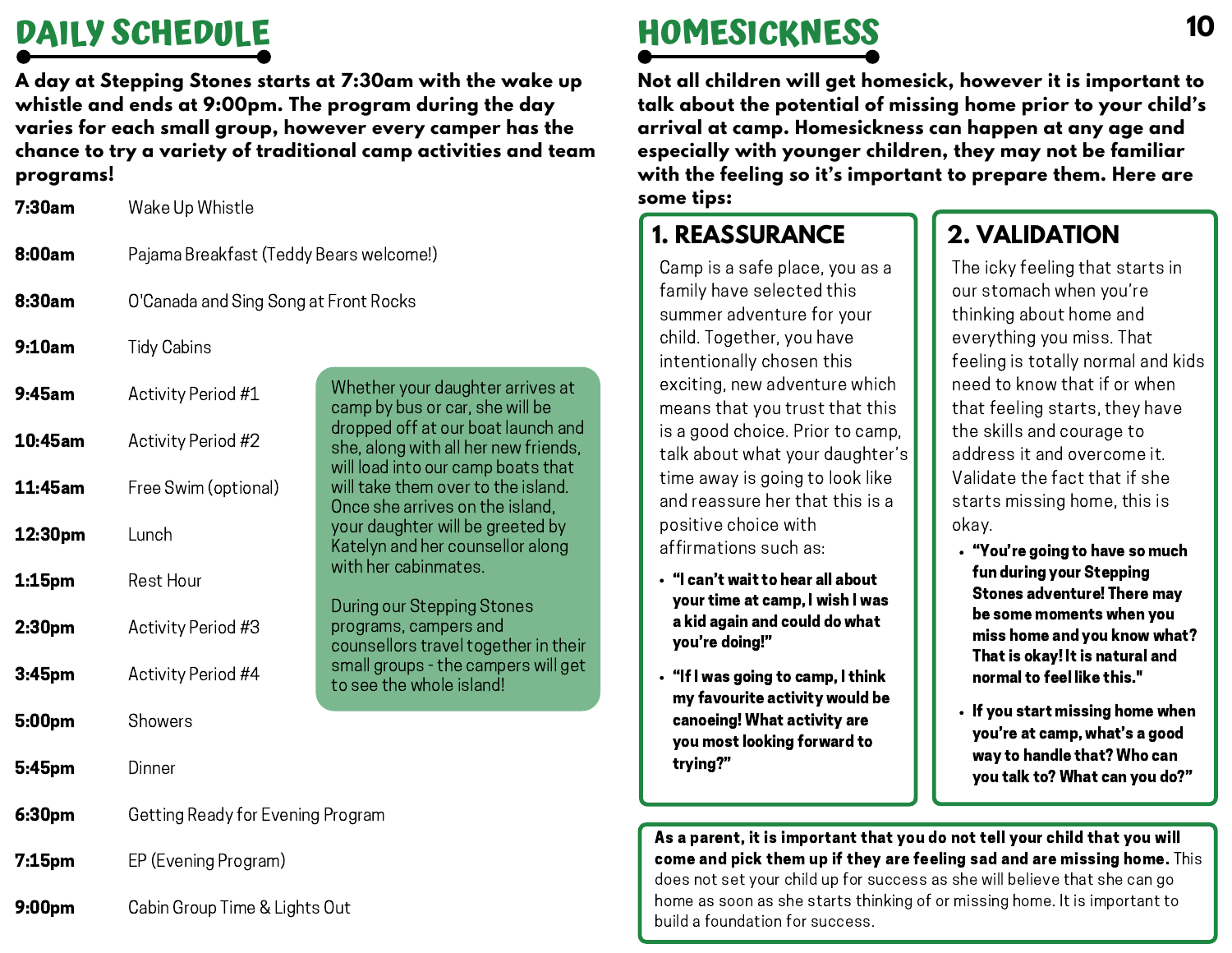# **DAILY SCHEDULE**

**A day at Stepping Stones starts at 7:30am with the wake up whistle and ends at 9:00pm. The program during the day varies for each small group, however every camper has the chance to try a variety of traditional camp activities and team programs!**

Wake Up Whistle 7:30am

- Pajama Breakfast (Teddy Bears welcome!) 8:00am
- O'Canada and Sing Song at Front Rocks 8:30am
- Tidy Cabins 9:10am

| 9:45am             | Activity Period #1                | Whether your daughter arrives at<br>camp by bus or car, she will be                                              |  |
|--------------------|-----------------------------------|------------------------------------------------------------------------------------------------------------------|--|
| 10:45am            | Activity Period #2                | dropped off at our boat launch and<br>she, along with all her new friends,<br>will load into our camp boats that |  |
| 11:45am            | Free Swim (optional)              | will take them over to the island.<br>Once she arrives on the island,                                            |  |
| 12:30pm            | Lunch                             | your daughter will be greeted by<br>Katelyn and her counsellor along<br>with her cabinmates.                     |  |
| $1:15$ pm          | Rest Hour                         |                                                                                                                  |  |
| 2:30 <sub>pm</sub> | Activity Period #3                | During our Stepping Stones<br>programs, campers and<br>counsellors travel together in their                      |  |
| 3:45pm             | Activity Period #4                | small groups - the campers will get<br>to see the whole island!                                                  |  |
| 5:00pm             | Showers                           |                                                                                                                  |  |
| 5:45pm             | Dinner                            |                                                                                                                  |  |
| 6:30pm             | Getting Ready for Evening Program |                                                                                                                  |  |
| 7:15 <sub>pm</sub> | EP (Evening Program)              |                                                                                                                  |  |
|                    |                                   |                                                                                                                  |  |

Cabin Group Time & Lights Out 9:00pm

# **HOMESICKNESS**

**Not all children will get homesick, however it is important to talk about the potential of missing home prior to your child's arrival at camp. Homesickness can happen at any age and especially with younger children, they may not be familiar with the feeling so it's important to prepare them. Here are some tips:**

### **1. REASSURANCE**

Camp is a safe place, you as a family have selected this summer adventure for your child. Together, you have intentionally chosen this exciting, new adventure which means that you trust that this is a good choice. Prior to camp, talk about what your daughter's time away is going to look like and reassure her that this is a positive choice with affirmations such as:

- "I can't wait to hear all about your time at camp, I wish I was a kid again and could do what you're doing!"
- "If I was going to camp, I think my favourite activity would be canoeing! What activity are you most looking forward to trying?"

### **2. VALIDATION**

The icky feeling that starts in our stomach when you're thinking about home and everything you miss. That feeling is totally normal and kids need to know that if or when that feeling starts, they have the skills and courage to address it and overcome it. Validate the fact that if she starts missing home, this is okay.

- "You're going to have so much fun during your Stepping Stones adventure! There may be some moments when you miss home and you know what? That is okay! It is natural and normal to feel like this."
- $\cdot$  If you start missing home when you're at camp, what's a good way to handle that? Who can you talk to? What can you do?"

As a parent, it is important that you do not tell your child that you will come and pick them up if they are feeling sad and are missing home. This does not set your child up for success as she will believe that she can go home as soon as she starts thinking of or missing home. It is important to build a foundation for success.